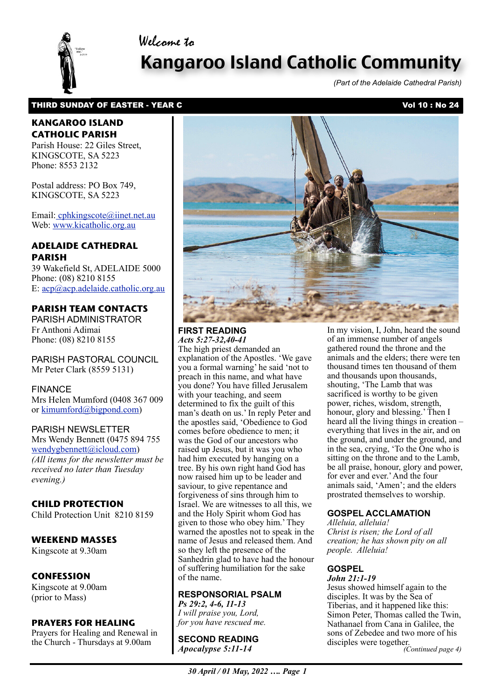## Welcome to



# Kangaroo Island Catholic Community

*(Part of the Adelaide Cathedral Parish)*

## THIRD SUNDAY OF EASTER - YEAR C Vol 10 : No 24

## **KANGAROO ISLAND CATHOLIC PARISH**

Parish House: 22 Giles Street, KINGSCOTE, SA 5223 Phone: 8553 2132

Postal address: PO Box 749, KINGSCOTE, SA 5223

Email[: cphkingscote@iinet.net.au](mailto:cphkingscote@iinet.net.au) Web: [www.kicatholic.org.au](http://www.kicatholic.org.au)

## **ADELAIDE CATHEDRAL PARISH**

39 Wakefield St, ADELAIDE 5000 Phone: (08) 8210 8155 E: [acp@acp.adelaide.catholic.org.au](mailto:?subject=)

## **PARISH TEAM CONTACTS**

PARISH ADMINISTRATOR Fr Anthoni Adimai Phone: (08) 8210 8155

PARISH PASTORAL COUNCIL Mr Peter Clark (8559 5131)

FINANCE Mrs Helen Mumford (0408 367 009 or [kimumford@bigpond.com\)](mailto:kimumford@bigpond.com)

#### PARISH NEWSLETTER

Mrs Wendy Bennett (0475 894 755 [wendygbennett@icloud.com\)](mailto:wendygbennett@icloud.com) *(All items for the newsletter must be received no later than Tuesday evening.)*

### **CHILD PROTECTION**

Child Protection Unit 8210 8159

## **WEEKEND MASSES**

Kingscote at 9.30am

## **CONFESSION**

Kingscote at 9.00am (prior to Mass)

#### **PRAYERS FOR HEALING**

Prayers for Healing and Renewal in the Church - Thursdays at 9.00am



#### **FIRST READING** *Acts 5:27-32,40-41*

The high priest demanded an explanation of the Apostles. 'We gave you a formal warning' he said 'not to preach in this name, and what have you done? You have filled Jerusalem with your teaching, and seem determined to fix the guilt of this man's death on us.' In reply Peter and the apostles said, 'Obedience to God comes before obedience to men; it was the God of our ancestors who raised up Jesus, but it was you who had him executed by hanging on a tree. By his own right hand God has now raised him up to be leader and saviour, to give repentance and forgiveness of sins through him to Israel. We are witnesses to all this, we and the Holy Spirit whom God has given to those who obey him.' They warned the apostles not to speak in the name of Jesus and released them. And so they left the presence of the Sanhedrin glad to have had the honour of suffering humiliation for the sake of the name.

#### **RESPONSORIAL PSALM**

*Ps 29:2, 4-6, 11-13 I will praise you, Lord, for you have rescued me.*

 *Apocalypse 5:11-14* **SECOND READING** In my vision, I, John, heard the sound of an immense number of angels gathered round the throne and the animals and the elders; there were ten thousand times ten thousand of them and thousands upon thousands, shouting, 'The Lamb that was sacrificed is worthy to be given power, riches, wisdom, strength, honour, glory and blessing.' Then I heard all the living things in creation – everything that lives in the air, and on the ground, and under the ground, and in the sea, crying, 'To the One who is sitting on the throne and to the Lamb, be all praise, honour, glory and power, for ever and ever.' And the four animals said, 'Amen'; and the elders prostrated themselves to worship.

## **GOSPEL ACCLAMATION**

*Alleluia, alleluia! Christ is risen; the Lord of all creation; he has shown pity on all people. Alleluia!*

## **GOSPEL**

*John 21:1-19* Jesus showed himself again to the disciples. It was by the Sea of Tiberias, and it happened like this: Simon Peter, Thomas called the Twin, Nathanael from Cana in Galilee, the sons of Zebedee and two more of his disciples were together. *(Continued page 4)*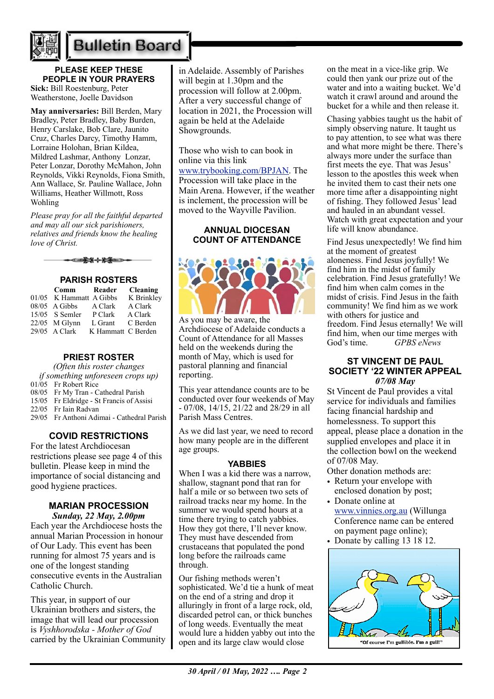

# **Bulletin Board**

## **PLEASE KEEP THESE PEOPLE IN YOUR PRAYERS**

**Sick:** Bill Roestenburg, Peter Weatherstone, Joelle Davidson

**May anniversaries:** Bill Berden, Mary Bradley, Peter Bradley, Baby Burden, Henry Carslake, Bob Clare, Jaunito Cruz, Charles Darcy, Timothy Hamm, Lorraine Holohan, Brian Kildea, Mildred Lashmar, Anthony Lonzar, Peter Lonzar, Dorothy McMahon, John Reynolds, Vikki Reynolds, Fiona Smith, Ann Wallace, Sr. Pauline Wallace, John Williams, Heather Willmott, Ross Wohling

*Please pray for all the faithful departed and may all our sick parishioners, relatives and friends know the healing love of Christ.*

\*\*\*\*\*

### **PARISH ROSTERS**

| Comm                    | Reader             | <b>Cleaning</b> |
|-------------------------|--------------------|-----------------|
| 01/05 K Hammatt A Gibbs |                    | K Brinkley      |
| $08/05$ A Gibbs         | A Clark            | A Clark         |
| 15/05 S Semler          | P Clark            | A Clark         |
| $22/05$ M Glynn         | L Grant            | C Berden        |
| $29/05$ A Clark         | K Hammatt C Berden |                 |

## **PRIEST ROSTER**

*(Often this roster changes if something unforeseen crops up)*

- 01/05 Fr Robert Rice
- 08/05 Fr My Tran Cathedral Parish
- 15/05 Fr Eldridge St Francis of Assisi
- 22/05 Fr Iain Radvan
- 29/05 Fr Anthoni Adimai Cathedral Parish

## **COVID RESTRICTIONS**

For the latest Archdiocesan restrictions please see page 4 of this bulletin. Please keep in mind the importance of social distancing and good hygiene practices.

## **MARIAN PROCESSION**

*Sunday, 22 May, 2.00pm*  Each year the Archdiocese hosts the annual Marian Procession in honour of Our Lady. This event has been running for almost 75 years and is one of the longest standing consecutive events in the Australian Catholic Church.

This year, in support of our Ukrainian brothers and sisters, the image that will lead our procession is *Vyshhorodska - Mother of God* carried by the Ukrainian Community

in Adelaide. Assembly of Parishes will begin at 1.30pm and the procession will follow at 2.00pm. After a very successful change of location in 2021, the Procession will again be held at the Adelaide Showgrounds.

Those who wish to can book in online via this link

[www.trybooking.com/BPJAN.](http://www.trybooking.com/BPJAN) The Procession will take place in the Main Arena. However, if the weather is inclement, the procession will be moved to the Wayville Pavilion.

### **ANNUAL DIOCESAN COUNT OF ATTENDANCE**



As you may be aware, the Archdiocese of Adelaide conducts a Count of Attendance for all Masses held on the weekends during the month of May, which is used for pastoral planning and financial reporting.

This year attendance counts are to be conducted over four weekends of May - 07/08, 14/15, 21/22 and 28/29 in all Parish Mass Centres.

As we did last year, we need to record how many people are in the different age groups.

#### **YABBIES**

When I was a kid there was a narrow, shallow, stagnant pond that ran for half a mile or so between two sets of railroad tracks near my home. In the summer we would spend hours at a time there trying to catch yabbies. How they got there, I'll never know. They must have descended from crustaceans that populated the pond long before the railroads came through.

Our fishing methods weren't sophisticated. We'd tie a hunk of meat on the end of a string and drop it alluringly in front of a large rock, old, discarded petrol can, or thick bunches of long weeds. Eventually the meat would lure a hidden yabby out into the open and its large claw would close

on the meat in a vice-like grip. We could then yank our prize out of the water and into a waiting bucket. We'd watch it crawl around and around the bucket for a while and then release it.

Chasing yabbies taught us the habit of simply observing nature. It taught us to pay attention, to see what was there and what more might be there. There's always more under the surface than first meets the eye. That was Jesus' lesson to the apostles this week when he invited them to cast their nets one more time after a disappointing night of fishing. They followed Jesus' lead and hauled in an abundant vessel. Watch with great expectation and your life will know abundance.

Find Jesus unexpectedly! We find him at the moment of greatest aloneness. Find Jesus joyfully! We find him in the midst of family celebration. Find Jesus gratefully! We find him when calm comes in the midst of crisis. Find Jesus in the faith community! We find him as we work with others for justice and freedom. Find Jesus eternally! We will find him, when our time merges with God's time. *GPBS eNews*

#### **ST VINCENT DE PAUL SOCIETY '22 WINTER APPEAL** *07/08 May*

St Vincent de Paul provides a vital service for individuals and families facing financial hardship and homelessness. To support this appeal, please place a donation in the supplied envelopes and place it in the collection bowl on the weekend of 07/08 May.

Other donation methods are:

- Return your envelope with enclosed donation by post;
- Donate online at [www.vinnies.org.au](http://www.vinnies.org.au/) (Willunga Conference name can be entered on payment page online);
- Donate by calling 13 18 12.

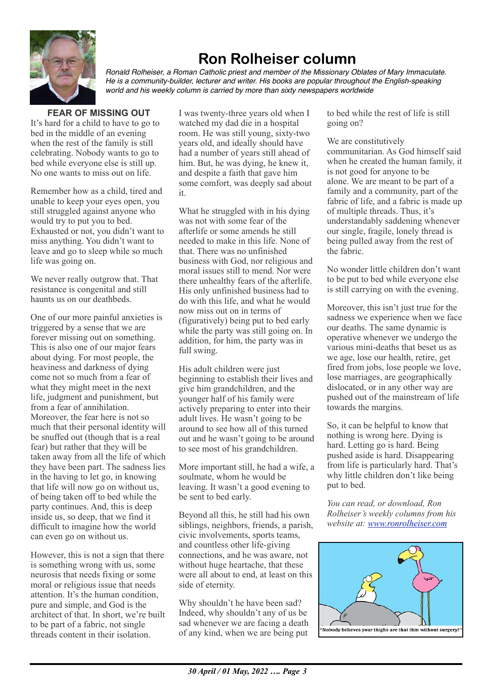

## **Ron Rolheiser column**

*Ronald Rolheiser, a Roman Catholic priest and member of the Missionary Oblates of Mary Immaculate. He is a community-builder, lecturer and writer. His books are popular throughout the English-speaking world and his weekly column is carried by more than sixty newspapers worldwide*

## **FEAR OF MISSING OUT**

It's hard for a child to have to go to bed in the middle of an evening when the rest of the family is still celebrating. Nobody wants to go to bed while everyone else is still up. No one wants to miss out on life.

Remember how as a child, tired and unable to keep your eyes open, you still struggled against anyone who would try to put you to bed. Exhausted or not, you didn't want to miss anything. You didn't want to leave and go to sleep while so much life was going on.

We never really outgrow that. That resistance is congenital and still haunts us on our deathbeds.

One of our more painful anxieties is triggered by a sense that we are forever missing out on something. This is also one of our major fears about dying. For most people, the heaviness and darkness of dying come not so much from a fear of what they might meet in the next life, judgment and punishment, but from a fear of annihilation. Moreover, the fear here is not so much that their personal identity will be snuffed out (though that is a real fear) but rather that they will be taken away from all the life of which they have been part. The sadness lies in the having to let go, in knowing that life will now go on without us, of being taken off to bed while the party continues. And, this is deep inside us, so deep, that we find it difficult to imagine how the world can even go on without us.

However, this is not a sign that there is something wrong with us, some neurosis that needs fixing or some moral or religious issue that needs attention. It's the human condition, pure and simple, and God is the architect of that. In short, we're built to be part of a fabric, not single threads content in their isolation.

I was twenty-three years old when I watched my dad die in a hospital room. He was still young, sixty-two years old, and ideally should have had a number of years still ahead of him. But, he was dying, he knew it, and despite a faith that gave him some comfort, was deeply sad about it.

What he struggled with in his dying was not with some fear of the afterlife or some amends he still needed to make in this life. None of that. There was no unfinished business with God, nor religious and moral issues still to mend. Nor were there unhealthy fears of the afterlife. His only unfinished business had to do with this life, and what he would now miss out on in terms of (figuratively) being put to bed early while the party was still going on. In addition, for him, the party was in full swing.

His adult children were just beginning to establish their lives and give him grandchildren, and the younger half of his family were actively preparing to enter into their adult lives. He wasn't going to be around to see how all of this turned out and he wasn't going to be around to see most of his grandchildren.

More important still, he had a wife, a soulmate, whom he would be leaving. It wasn't a good evening to be sent to bed early.

Beyond all this, he still had his own siblings, neighbors, friends, a parish, civic involvements, sports teams, and countless other life-giving connections, and he was aware, not without huge heartache, that these were all about to end, at least on this side of eternity.

Why shouldn't he have been sad? Indeed, why shouldn't any of us be sad whenever we are facing a death of any kind, when we are being put to bed while the rest of life is still going on?

We are constitutively communitarian. As God himself said when he created the human family, it is not good for anyone to be alone. We are meant to be part of a family and a community, part of the fabric of life, and a fabric is made up of multiple threads. Thus, it's understandably saddening whenever our single, fragile, lonely thread is being pulled away from the rest of the fabric.

No wonder little children don't want to be put to bed while everyone else is still carrying on with the evening.

Moreover, this isn't just true for the sadness we experience when we face our deaths. The same dynamic is operative whenever we undergo the various mini-deaths that beset us as we age, lose our health, retire, get fired from jobs, lose people we love, lose marriages, are geographically dislocated, or in any other way are pushed out of the mainstream of life towards the margins.

So, it can be helpful to know that nothing is wrong here. Dying is hard. Letting go is hard. Being pushed aside is hard. Disappearing from life is particularly hard. That's why little children don't like being put to bed.

*You can read, or download, Ron Rolheiser's weekly columns from his website at: [www.ronrolheiser.com](http://www.ronrolheiser.com)*